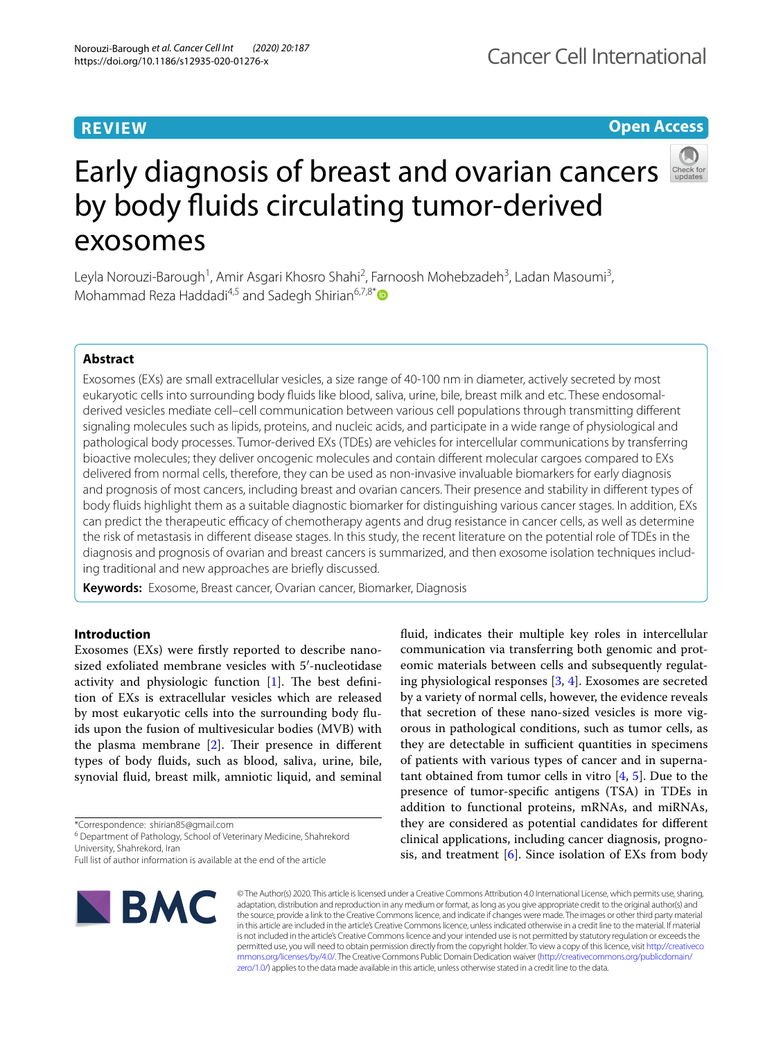### **REVIEW**

**Open Access**

# Early diagnosis of breast and ovarian cancers by body fluids circulating tumor-derived exosomes

Leyla Norouzi-Barough<sup>1</sup>, Amir Asgari Khosro Shahi<sup>2</sup>, Farnoosh Mohebzadeh<sup>3</sup>, Ladan Masoumi<sup>3</sup>, Mohammad Reza Haddadi<sup>4,5</sup> and Sadegh Shirian<sup>6,7,8[\\*](http://orcid.org/0000-0003-4137-9056)</sup>

### **Abstract**

Exosomes (EXs) are small extracellular vesicles, a size range of 40-100 nm in diameter, actively secreted by most eukaryotic cells into surrounding body fuids like blood, saliva, urine, bile, breast milk and etc. These endosomalderived vesicles mediate cell–cell communication between various cell populations through transmitting diferent signaling molecules such as lipids, proteins, and nucleic acids, and participate in a wide range of physiological and pathological body processes. Tumor-derived EXs (TDEs) are vehicles for intercellular communications by transferring bioactive molecules; they deliver oncogenic molecules and contain diferent molecular cargoes compared to EXs delivered from normal cells, therefore, they can be used as non-invasive invaluable biomarkers for early diagnosis and prognosis of most cancers, including breast and ovarian cancers. Their presence and stability in diferent types of body fuids highlight them as a suitable diagnostic biomarker for distinguishing various cancer stages. In addition, EXs can predict the therapeutic efficacy of chemotherapy agents and drug resistance in cancer cells, as well as determine the risk of metastasis in diferent disease stages. In this study, the recent literature on the potential role of TDEs in the diagnosis and prognosis of ovarian and breast cancers is summarized, and then exosome isolation techniques including traditional and new approaches are briefy discussed.

**Keywords:** Exosome, Breast cancer, Ovarian cancer, Biomarker, Diagnosis

### **Introduction**

Exosomes (EXs) were frstly reported to describe nanosized exfoliated membrane vesicles with 5′-nucleotidase activity and physiologic function  $[1]$ . The best definition of EXs is extracellular vesicles which are released by most eukaryotic cells into the surrounding body fuids upon the fusion of multivesicular bodies (MVB) with the plasma membrane  $[2]$  $[2]$ . Their presence in different types of body fuids, such as blood, saliva, urine, bile, synovial fuid, breast milk, amniotic liquid, and seminal

\*Correspondence: shirian85@gmail.com

<sup>6</sup> Department of Pathology, School of Veterinary Medicine, Shahrekord University, Shahrekord, Iran

Full list of author information is available at the end of the article



© The Author(s) 2020. This article is licensed under a Creative Commons Attribution 4.0 International License, which permits use, sharing, adaptation, distribution and reproduction in any medium or format, as long as you give appropriate credit to the original author(s) and the source, provide a link to the Creative Commons licence, and indicate if changes were made. The images or other third party material in this article are included in the article's Creative Commons licence, unless indicated otherwise in a credit line to the material. If material is not included in the article's Creative Commons licence and your intended use is not permitted by statutory regulation or exceeds the permitted use, you will need to obtain permission directly from the copyright holder. To view a copy of this licence, visit [http://creativeco](http://creativecommons.org/licenses/by/4.0/) [mmons.org/licenses/by/4.0/.](http://creativecommons.org/licenses/by/4.0/) The Creative Commons Public Domain Dedication waiver ([http://creativecommons.org/publicdomain/](http://creativecommons.org/publicdomain/zero/1.0/) [zero/1.0/\)](http://creativecommons.org/publicdomain/zero/1.0/) applies to the data made available in this article, unless otherwise stated in a credit line to the data.

fuid, indicates their multiple key roles in intercellular communication via transferring both genomic and proteomic materials between cells and subsequently regulating physiological responses [\[3](#page-7-2), [4](#page-7-3)]. Exosomes are secreted by a variety of normal cells, however, the evidence reveals that secretion of these nano-sized vesicles is more vigorous in pathological conditions, such as tumor cells, as they are detectable in sufficient quantities in specimens of patients with various types of cancer and in supernatant obtained from tumor cells in vitro  $[4, 5]$  $[4, 5]$  $[4, 5]$  $[4, 5]$ . Due to the presence of tumor-specifc antigens (TSA) in TDEs in addition to functional proteins, mRNAs, and miRNAs, they are considered as potential candidates for diferent clinical applications, including cancer diagnosis, prognosis, and treatment  $[6]$  $[6]$ . Since isolation of EXs from body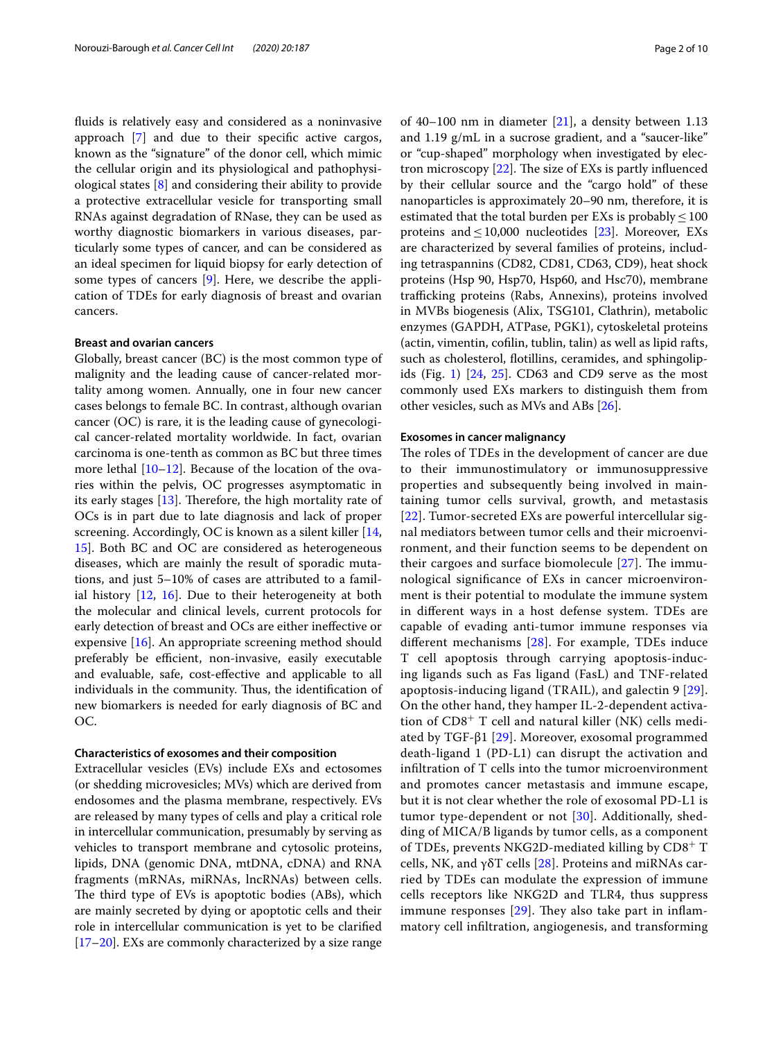fuids is relatively easy and considered as a noninvasive approach [\[7](#page-7-6)] and due to their specifc active cargos, known as the "signature" of the donor cell, which mimic the cellular origin and its physiological and pathophysiological states [[8\]](#page-7-7) and considering their ability to provide a protective extracellular vesicle for transporting small RNAs against degradation of RNase, they can be used as worthy diagnostic biomarkers in various diseases, particularly some types of cancer, and can be considered as an ideal specimen for liquid biopsy for early detection of some types of cancers [[9\]](#page-7-8). Here, we describe the application of TDEs for early diagnosis of breast and ovarian cancers.

### **Breast and ovarian cancers**

Globally, breast cancer (BC) is the most common type of malignity and the leading cause of cancer-related mortality among women. Annually, one in four new cancer cases belongs to female BC. In contrast, although ovarian cancer (OC) is rare, it is the leading cause of gynecological cancer-related mortality worldwide. In fact, ovarian carcinoma is one-tenth as common as BC but three times more lethal [\[10](#page-7-9)[–12](#page-7-10)]. Because of the location of the ovaries within the pelvis, OC progresses asymptomatic in its early stages  $[13]$  $[13]$ . Therefore, the high mortality rate of OCs is in part due to late diagnosis and lack of proper screening. Accordingly, OC is known as a silent killer [\[14](#page-7-12), [15\]](#page-7-13). Both BC and OC are considered as heterogeneous diseases, which are mainly the result of sporadic mutations, and just 5–10% of cases are attributed to a familial history  $[12, 16]$  $[12, 16]$  $[12, 16]$  $[12, 16]$ . Due to their heterogeneity at both the molecular and clinical levels, current protocols for early detection of breast and OCs are either inefective or expensive [[16](#page-7-14)]. An appropriate screening method should preferably be efficient, non-invasive, easily executable and evaluable, safe, cost-efective and applicable to all individuals in the community. Thus, the identification of new biomarkers is needed for early diagnosis of BC and OC.

### **Characteristics of exosomes and their composition**

Extracellular vesicles (EVs) include EXs and ectosomes (or shedding microvesicles; MVs) which are derived from endosomes and the plasma membrane, respectively. EVs are released by many types of cells and play a critical role in intercellular communication, presumably by serving as vehicles to transport membrane and cytosolic proteins, lipids, DNA (genomic DNA, mtDNA, cDNA) and RNA fragments (mRNAs, miRNAs, lncRNAs) between cells. The third type of EVs is apoptotic bodies (ABs), which are mainly secreted by dying or apoptotic cells and their role in intercellular communication is yet to be clarifed [[17–](#page-7-15)[20](#page-7-16)]. EXs are commonly characterized by a size range of 40–100 nm in diameter  $[21]$  $[21]$ , a density between 1.13 and 1.19 g/mL in a sucrose gradient, and a "saucer-like" or "cup-shaped" morphology when investigated by electron microscopy  $[22]$  $[22]$ . The size of EXs is partly influenced by their cellular source and the "cargo hold" of these nanoparticles is approximately 20–90 nm, therefore, it is estimated that the total burden per EXs is probably  $\leq 100$ proteins and  $\leq 10,000$  nucleotides [\[23](#page-8-1)]. Moreover, EXs are characterized by several families of proteins, including tetraspannins (CD82, CD81, CD63, CD9), heat shock proteins (Hsp 90, Hsp70, Hsp60, and Hsc70), membrane trafficking proteins (Rabs, Annexins), proteins involved in MVBs biogenesis (Alix, TSG101, Clathrin), metabolic enzymes (GAPDH, ATPase, PGK1), cytoskeletal proteins (actin, vimentin, coflin, tublin, talin) as well as lipid rafts, such as cholesterol, flotillins, ceramides, and sphingolip-ids (Fig. [1](#page-2-0))  $[24, 25]$  $[24, 25]$  $[24, 25]$  $[24, 25]$ . CD63 and CD9 serve as the most commonly used EXs markers to distinguish them from other vesicles, such as MVs and ABs [\[26](#page-8-4)].

### **Exosomes in cancer malignancy**

The roles of TDEs in the development of cancer are due to their immunostimulatory or immunosuppressive properties and subsequently being involved in maintaining tumor cells survival, growth, and metastasis [[22](#page-8-0)]. Tumor-secreted EXs are powerful intercellular signal mediators between tumor cells and their microenvironment, and their function seems to be dependent on their cargoes and surface biomolecule  $[27]$  $[27]$ . The immunological signifcance of EXs in cancer microenvironment is their potential to modulate the immune system in diferent ways in a host defense system. TDEs are capable of evading anti-tumor immune responses via diferent mechanisms [[28](#page-8-6)]. For example, TDEs induce T cell apoptosis through carrying apoptosis-inducing ligands such as Fas ligand (FasL) and TNF-related apoptosis-inducing ligand (TRAIL), and galectin 9 [[29](#page-8-7)]. On the other hand, they hamper IL-2-dependent activation of  $CD8<sup>+</sup>$  T cell and natural killer (NK) cells mediated by TGF-β1 [\[29](#page-8-7)]. Moreover, exosomal programmed death-ligand 1 (PD-L1) can disrupt the activation and infltration of T cells into the tumor microenvironment and promotes cancer metastasis and immune escape, but it is not clear whether the role of exosomal PD-L1 is tumor type-dependent or not [[30\]](#page-8-8). Additionally, shedding of MICA/B ligands by tumor cells, as a component of TDEs, prevents NKG2D-mediated killing by  $CD8^+$  T cells, NK, and γδT cells [\[28\]](#page-8-6). Proteins and miRNAs carried by TDEs can modulate the expression of immune cells receptors like NKG2D and TLR4, thus suppress immune responses  $[29]$  $[29]$ . They also take part in inflammatory cell infltration, angiogenesis, and transforming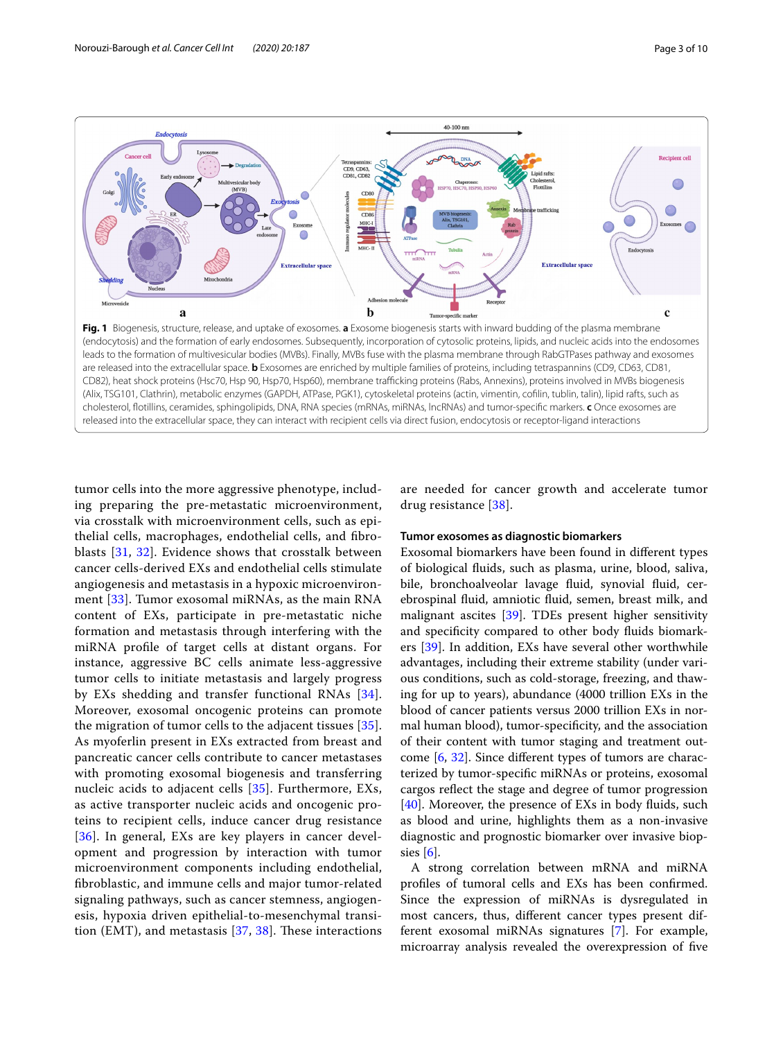

<span id="page-2-0"></span>tumor cells into the more aggressive phenotype, including preparing the pre-metastatic microenvironment, via crosstalk with microenvironment cells, such as epithelial cells, macrophages, endothelial cells, and fbroblasts [[31,](#page-8-9) [32\]](#page-8-10). Evidence shows that crosstalk between cancer cells-derived EXs and endothelial cells stimulate angiogenesis and metastasis in a hypoxic microenvironment [[33\]](#page-8-11). Tumor exosomal miRNAs, as the main RNA content of EXs, participate in pre-metastatic niche formation and metastasis through interfering with the miRNA profle of target cells at distant organs. For instance, aggressive BC cells animate less-aggressive tumor cells to initiate metastasis and largely progress by EXs shedding and transfer functional RNAs [[34\]](#page-8-12). Moreover, exosomal oncogenic proteins can promote the migration of tumor cells to the adjacent tissues [[35\]](#page-8-13). As myoferlin present in EXs extracted from breast and pancreatic cancer cells contribute to cancer metastases with promoting exosomal biogenesis and transferring nucleic acids to adjacent cells [[35](#page-8-13)]. Furthermore, EXs, as active transporter nucleic acids and oncogenic proteins to recipient cells, induce cancer drug resistance [[36](#page-8-14)]. In general, EXs are key players in cancer development and progression by interaction with tumor microenvironment components including endothelial, fbroblastic, and immune cells and major tumor-related signaling pathways, such as cancer stemness, angiogenesis, hypoxia driven epithelial-to-mesenchymal transition (EMT), and metastasis  $[37, 38]$  $[37, 38]$  $[37, 38]$ . These interactions are needed for cancer growth and accelerate tumor drug resistance [[38\]](#page-8-16).

### **Tumor exosomes as diagnostic biomarkers**

Exosomal biomarkers have been found in diferent types of biological fuids, such as plasma, urine, blood, saliva, bile, bronchoalveolar lavage fuid, synovial fuid, cerebrospinal fuid, amniotic fuid, semen, breast milk, and malignant ascites [[39\]](#page-8-17). TDEs present higher sensitivity and specifcity compared to other body fuids biomark-ers [\[39](#page-8-17)]. In addition, EXs have several other worthwhile advantages, including their extreme stability (under various conditions, such as cold-storage, freezing, and thawing for up to years), abundance (4000 trillion EXs in the blood of cancer patients versus 2000 trillion EXs in normal human blood), tumor-specifcity, and the association of their content with tumor staging and treatment outcome [\[6](#page-7-5), [32](#page-8-10)]. Since diferent types of tumors are characterized by tumor-specifc miRNAs or proteins, exosomal cargos refect the stage and degree of tumor progression [[40\]](#page-8-18). Moreover, the presence of EXs in body fluids, such as blood and urine, highlights them as a non-invasive diagnostic and prognostic biomarker over invasive biopsies  $[6]$  $[6]$ .

A strong correlation between mRNA and miRNA profles of tumoral cells and EXs has been confrmed. Since the expression of miRNAs is dysregulated in most cancers, thus, diferent cancer types present different exosomal miRNAs signatures [[7\]](#page-7-6). For example, microarray analysis revealed the overexpression of fve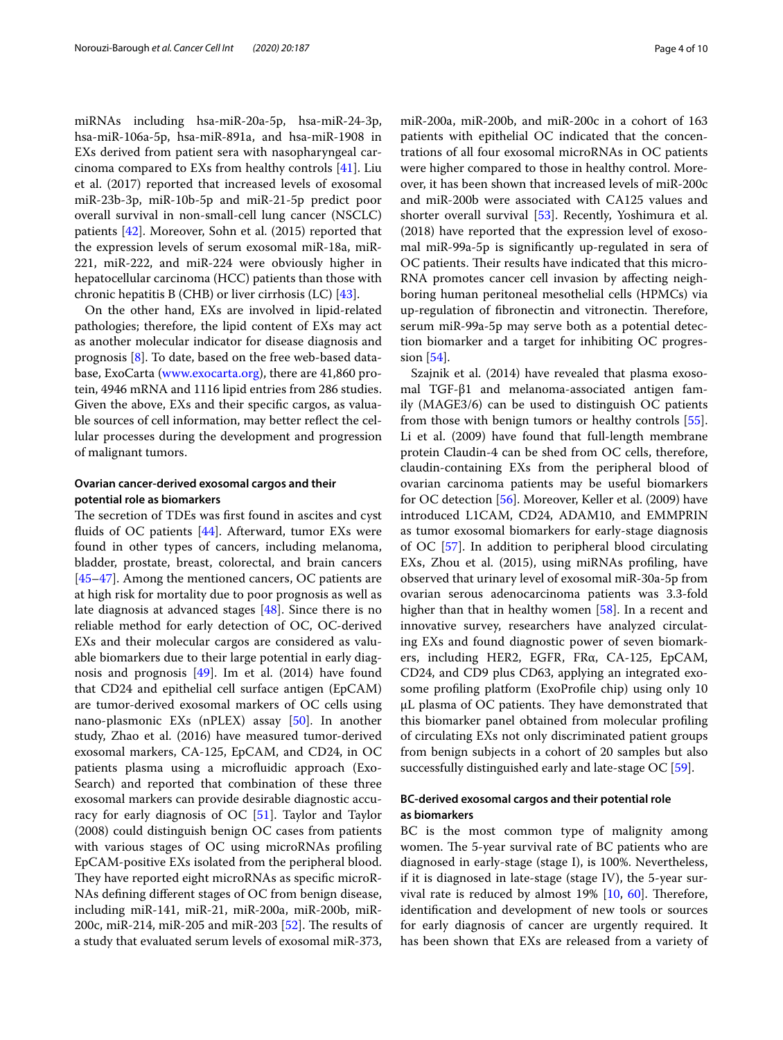miRNAs including hsa-miR-20a-5p, hsa-miR-24-3p, hsa-miR-106a-5p, hsa-miR-891a, and hsa-miR-1908 in EXs derived from patient sera with nasopharyngeal carcinoma compared to EXs from healthy controls [[41\]](#page-8-19). Liu et al. (2017) reported that increased levels of exosomal miR-23b-3p, miR-10b-5p and miR-21-5p predict poor overall survival in non-small-cell lung cancer (NSCLC) patients [[42](#page-8-20)]. Moreover, Sohn et al. (2015) reported that the expression levels of serum exosomal miR-18a, miR-221, miR-222, and miR-224 were obviously higher in hepatocellular carcinoma (HCC) patients than those with chronic hepatitis B (CHB) or liver cirrhosis (LC) [[43](#page-8-21)].

On the other hand, EXs are involved in lipid-related pathologies; therefore, the lipid content of EXs may act as another molecular indicator for disease diagnosis and prognosis [\[8](#page-7-7)]. To date, based on the free web-based database, ExoCarta [\(www.exocarta.org](http://www.exocarta.org)), there are 41,860 protein, 4946 mRNA and 1116 lipid entries from 286 studies. Given the above, EXs and their specifc cargos, as valuable sources of cell information, may better refect the cellular processes during the development and progression of malignant tumors.

### **Ovarian cancer‑derived exosomal cargos and their potential role as biomarkers**

The secretion of TDEs was first found in ascites and cyst fuids of OC patients [[44](#page-8-22)]. Afterward, tumor EXs were found in other types of cancers, including melanoma, bladder, prostate, breast, colorectal, and brain cancers [[45–](#page-8-23)[47](#page-8-24)]. Among the mentioned cancers, OC patients are at high risk for mortality due to poor prognosis as well as late diagnosis at advanced stages [\[48\]](#page-8-25). Since there is no reliable method for early detection of OC, OC-derived EXs and their molecular cargos are considered as valuable biomarkers due to their large potential in early diagnosis and prognosis [[49\]](#page-8-26). Im et al. (2014) have found that CD24 and epithelial cell surface antigen (EpCAM) are tumor-derived exosomal markers of OC cells using nano-plasmonic EXs (nPLEX) assay [[50\]](#page-8-27). In another study, Zhao et al. (2016) have measured tumor-derived exosomal markers, CA-125, EpCAM, and CD24, in OC patients plasma using a microfuidic approach (Exo-Search) and reported that combination of these three exosomal markers can provide desirable diagnostic accuracy for early diagnosis of OC [\[51](#page-8-28)]. Taylor and Taylor (2008) could distinguish benign OC cases from patients with various stages of OC using microRNAs profling EpCAM-positive EXs isolated from the peripheral blood. They have reported eight microRNAs as specific microR-NAs defning diferent stages of OC from benign disease, including miR-141, miR-21, miR-200a, miR-200b, miR-200c, miR-214, miR-205 and miR-203  $[52]$  $[52]$ . The results of a study that evaluated serum levels of exosomal miR-373, miR-200a, miR-200b, and miR-200c in a cohort of 163 patients with epithelial OC indicated that the concentrations of all four exosomal microRNAs in OC patients were higher compared to those in healthy control. Moreover, it has been shown that increased levels of miR-200c and miR-200b were associated with CA125 values and shorter overall survival [\[53](#page-8-30)]. Recently, Yoshimura et al. (2018) have reported that the expression level of exosomal miR-99a-5p is signifcantly up-regulated in sera of OC patients. Their results have indicated that this micro-RNA promotes cancer cell invasion by afecting neighboring human peritoneal mesothelial cells (HPMCs) via up-regulation of fibronectin and vitronectin. Therefore, serum miR-99a-5p may serve both as a potential detection biomarker and a target for inhibiting OC progression [\[54](#page-8-31)].

Szajnik et al. (2014) have revealed that plasma exosomal TGF-β1 and melanoma-associated antigen family (MAGE3/6) can be used to distinguish OC patients from those with benign tumors or healthy controls [\[55](#page-8-32)]. Li et al. (2009) have found that full-length membrane protein Claudin-4 can be shed from OC cells, therefore, claudin-containing EXs from the peripheral blood of ovarian carcinoma patients may be useful biomarkers for OC detection [\[56](#page-8-33)]. Moreover, Keller et al. (2009) have introduced L1CAM, CD24, ADAM10, and EMMPRIN as tumor exosomal biomarkers for early-stage diagnosis of OC [[57\]](#page-8-34). In addition to peripheral blood circulating EXs, Zhou et al. (2015), using miRNAs profling, have observed that urinary level of exosomal miR-30a-5p from ovarian serous adenocarcinoma patients was 3.3-fold higher than that in healthy women [\[58](#page-8-35)]. In a recent and innovative survey, researchers have analyzed circulating EXs and found diagnostic power of seven biomarkers, including HER2, EGFR, FRα, CA-125, EpCAM, CD24, and CD9 plus CD63, applying an integrated exosome profling platform (ExoProfle chip) using only 10  $\mu$ L plasma of OC patients. They have demonstrated that this biomarker panel obtained from molecular profling of circulating EXs not only discriminated patient groups from benign subjects in a cohort of 20 samples but also successfully distinguished early and late-stage OC [\[59](#page-8-36)].

### **BC‑derived exosomal cargos and their potential role as biomarkers**

BC is the most common type of malignity among women. The 5-year survival rate of BC patients who are diagnosed in early-stage (stage I), is 100%. Nevertheless, if it is diagnosed in late-stage (stage IV), the 5-year survival rate is reduced by almost  $19\%$  [[10,](#page-7-9) [60\]](#page-8-37). Therefore, identifcation and development of new tools or sources for early diagnosis of cancer are urgently required. It has been shown that EXs are released from a variety of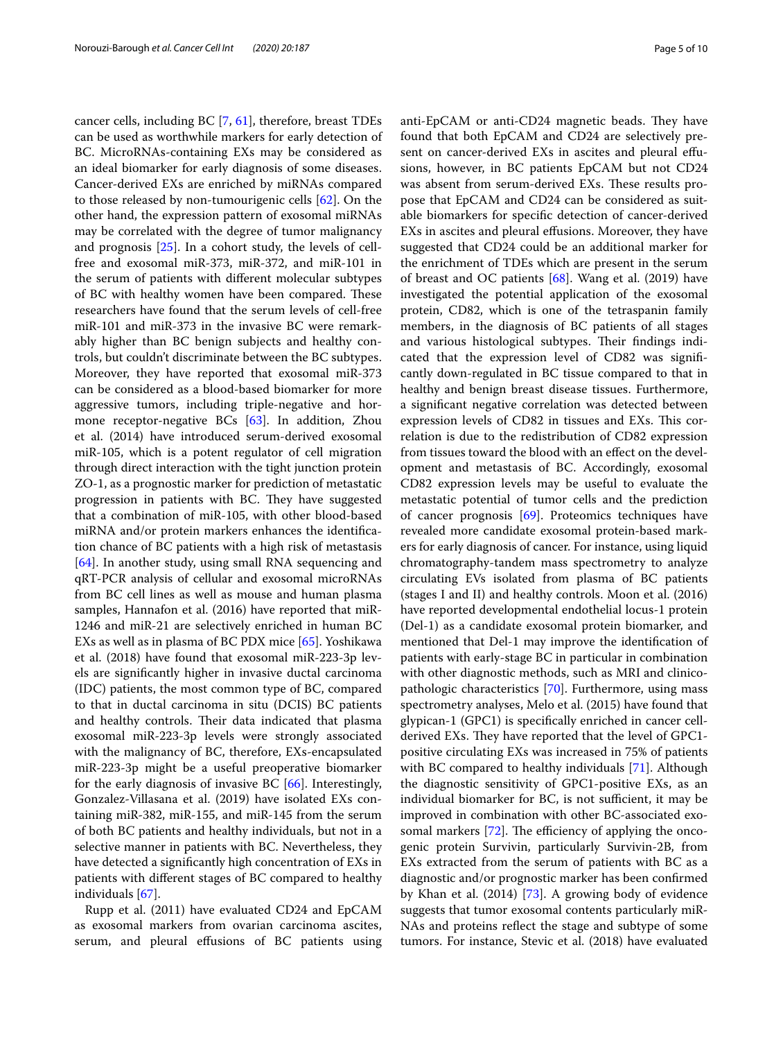cancer cells, including BC [\[7](#page-7-6), [61](#page-8-38)], therefore, breast TDEs can be used as worthwhile markers for early detection of BC. MicroRNAs-containing EXs may be considered as an ideal biomarker for early diagnosis of some diseases. Cancer-derived EXs are enriched by miRNAs compared to those released by non-tumourigenic cells [\[62](#page-8-39)]. On the other hand, the expression pattern of exosomal miRNAs may be correlated with the degree of tumor malignancy and prognosis [\[25\]](#page-8-3). In a cohort study, the levels of cellfree and exosomal miR-373, miR-372, and miR-101 in the serum of patients with diferent molecular subtypes of BC with healthy women have been compared. These researchers have found that the serum levels of cell-free miR-101 and miR-373 in the invasive BC were remarkably higher than BC benign subjects and healthy controls, but couldn't discriminate between the BC subtypes. Moreover, they have reported that exosomal miR-373 can be considered as a blood-based biomarker for more aggressive tumors, including triple-negative and hormone receptor-negative BCs [[63\]](#page-8-40). In addition, Zhou et al. (2014) have introduced serum-derived exosomal miR-105, which is a potent regulator of cell migration through direct interaction with the tight junction protein ZO-1, as a prognostic marker for prediction of metastatic progression in patients with BC. They have suggested that a combination of miR-105, with other blood-based miRNA and/or protein markers enhances the identifcation chance of BC patients with a high risk of metastasis [[64\]](#page-8-41). In another study, using small RNA sequencing and qRT-PCR analysis of cellular and exosomal microRNAs from BC cell lines as well as mouse and human plasma samples, Hannafon et al. (2016) have reported that miR-1246 and miR-21 are selectively enriched in human BC EXs as well as in plasma of BC PDX mice [[65\]](#page-8-42). Yoshikawa et al. (2018) have found that exosomal miR-223-3p levels are signifcantly higher in invasive ductal carcinoma (IDC) patients, the most common type of BC, compared to that in ductal carcinoma in situ (DCIS) BC patients and healthy controls. Their data indicated that plasma exosomal miR-223-3p levels were strongly associated with the malignancy of BC, therefore, EXs-encapsulated miR-223-3p might be a useful preoperative biomarker for the early diagnosis of invasive BC [[66\]](#page-8-43). Interestingly, Gonzalez-Villasana et al. (2019) have isolated EXs containing miR-382, miR-155, and miR-145 from the serum of both BC patients and healthy individuals, but not in a selective manner in patients with BC. Nevertheless, they have detected a signifcantly high concentration of EXs in patients with diferent stages of BC compared to healthy individuals [[67\]](#page-8-44).

Rupp et al. (2011) have evaluated CD24 and EpCAM as exosomal markers from ovarian carcinoma ascites, serum, and pleural efusions of BC patients using anti-EpCAM or anti-CD24 magnetic beads. They have found that both EpCAM and CD24 are selectively present on cancer-derived EXs in ascites and pleural efusions, however, in BC patients EpCAM but not CD24 was absent from serum-derived EXs. These results propose that EpCAM and CD24 can be considered as suitable biomarkers for specifc detection of cancer-derived EXs in ascites and pleural efusions. Moreover, they have suggested that CD24 could be an additional marker for the enrichment of TDEs which are present in the serum of breast and OC patients [[68](#page-8-45)]. Wang et al. (2019) have investigated the potential application of the exosomal protein, CD82, which is one of the tetraspanin family members, in the diagnosis of BC patients of all stages and various histological subtypes. Their findings indicated that the expression level of CD82 was signifcantly down-regulated in BC tissue compared to that in healthy and benign breast disease tissues. Furthermore, a signifcant negative correlation was detected between expression levels of CD82 in tissues and EXs. This correlation is due to the redistribution of CD82 expression from tissues toward the blood with an efect on the development and metastasis of BC. Accordingly, exosomal CD82 expression levels may be useful to evaluate the metastatic potential of tumor cells and the prediction of cancer prognosis [\[69](#page-8-46)]. Proteomics techniques have revealed more candidate exosomal protein-based markers for early diagnosis of cancer. For instance, using liquid chromatography-tandem mass spectrometry to analyze circulating EVs isolated from plasma of BC patients (stages I and II) and healthy controls. Moon et al. (2016) have reported developmental endothelial locus-1 protein (Del-1) as a candidate exosomal protein biomarker, and mentioned that Del-1 may improve the identifcation of patients with early-stage BC in particular in combination with other diagnostic methods, such as MRI and clinicopathologic characteristics [[70](#page-8-47)]. Furthermore, using mass spectrometry analyses, Melo et al. (2015) have found that glypican-1 (GPC1) is specifcally enriched in cancer cellderived EXs. They have reported that the level of GPC1positive circulating EXs was increased in 75% of patients with BC compared to healthy individuals [[71](#page-9-0)]. Although the diagnostic sensitivity of GPC1-positive EXs, as an individual biomarker for BC, is not sufficient, it may be improved in combination with other BC-associated exosomal markers  $[72]$  $[72]$ . The efficiency of applying the oncogenic protein Survivin, particularly Survivin-2B, from EXs extracted from the serum of patients with BC as a diagnostic and/or prognostic marker has been confrmed by Khan et al. (2014) [[73](#page-9-2)]. A growing body of evidence suggests that tumor exosomal contents particularly miR-NAs and proteins refect the stage and subtype of some tumors. For instance, Stevic et al. (2018) have evaluated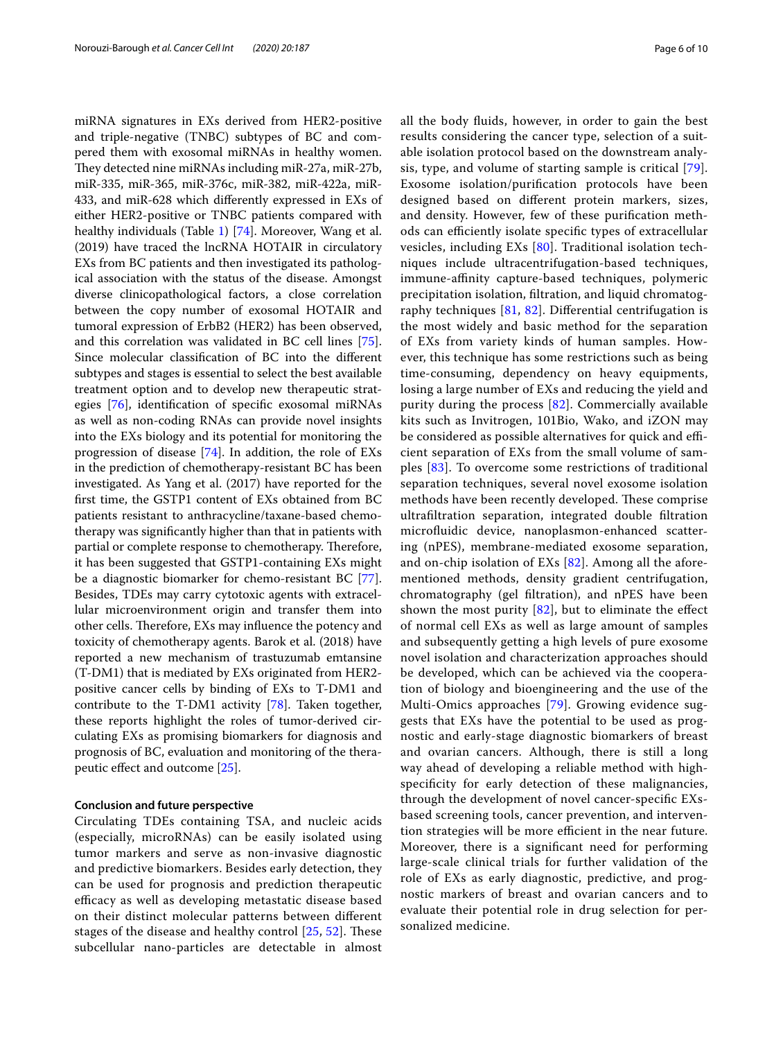miRNA signatures in EXs derived from HER2-positive and triple-negative (TNBC) subtypes of BC and compered them with exosomal miRNAs in healthy women. They detected nine miRNAs including miR-27a, miR-27b, miR-335, miR-365, miR-376c, miR-382, miR-422a, miR-433, and miR-628 which diferently expressed in EXs of either HER2-positive or TNBC patients compared with healthy individuals (Table [1\)](#page-6-0) [\[74](#page-9-3)]. Moreover, Wang et al. (2019) have traced the lncRNA HOTAIR in circulatory EXs from BC patients and then investigated its pathological association with the status of the disease. Amongst diverse clinicopathological factors, a close correlation between the copy number of exosomal HOTAIR and tumoral expression of ErbB2 (HER2) has been observed, and this correlation was validated in BC cell lines [\[75](#page-9-4)]. Since molecular classifcation of BC into the diferent subtypes and stages is essential to select the best available treatment option and to develop new therapeutic strategies [[76\]](#page-9-5), identifcation of specifc exosomal miRNAs as well as non-coding RNAs can provide novel insights into the EXs biology and its potential for monitoring the progression of disease [[74\]](#page-9-3). In addition, the role of EXs in the prediction of chemotherapy-resistant BC has been investigated. As Yang et al. (2017) have reported for the frst time, the GSTP1 content of EXs obtained from BC patients resistant to anthracycline/taxane-based chemotherapy was signifcantly higher than that in patients with partial or complete response to chemotherapy. Therefore, it has been suggested that GSTP1-containing EXs might be a diagnostic biomarker for chemo-resistant BC [\[77](#page-9-6)]. Besides, TDEs may carry cytotoxic agents with extracellular microenvironment origin and transfer them into other cells. Therefore, EXs may influence the potency and toxicity of chemotherapy agents. Barok et al. (2018) have reported a new mechanism of trastuzumab emtansine (T-DM1) that is mediated by EXs originated from HER2 positive cancer cells by binding of EXs to T-DM1 and contribute to the T-DM1 activity [[78\]](#page-9-7). Taken together, these reports highlight the roles of tumor-derived circulating EXs as promising biomarkers for diagnosis and prognosis of BC, evaluation and monitoring of the therapeutic efect and outcome [\[25\]](#page-8-3).

### **Conclusion and future perspective**

Circulating TDEs containing TSA, and nucleic acids (especially, microRNAs) can be easily isolated using tumor markers and serve as non-invasive diagnostic and predictive biomarkers. Besides early detection, they can be used for prognosis and prediction therapeutic efficacy as well as developing metastatic disease based on their distinct molecular patterns between diferent stages of the disease and healthy control  $[25, 52]$  $[25, 52]$  $[25, 52]$  $[25, 52]$  $[25, 52]$ . These subcellular nano-particles are detectable in almost all the body fuids, however, in order to gain the best results considering the cancer type, selection of a suitable isolation protocol based on the downstream analysis, type, and volume of starting sample is critical [[79\]](#page-9-8). Exosome isolation/purifcation protocols have been designed based on diferent protein markers, sizes, and density. However, few of these purifcation methods can efficiently isolate specific types of extracellular vesicles, including EXs [\[80](#page-9-9)]. Traditional isolation techniques include ultracentrifugation-based techniques, immune-affinity capture-based techniques, polymeric precipitation isolation, fltration, and liquid chromatography techniques [[81,](#page-9-10) [82](#page-9-11)]. Diferential centrifugation is the most widely and basic method for the separation of EXs from variety kinds of human samples. However, this technique has some restrictions such as being time-consuming, dependency on heavy equipments, losing a large number of EXs and reducing the yield and purity during the process [\[82](#page-9-11)]. Commercially available kits such as Invitrogen, 101Bio, Wako, and iZON may be considered as possible alternatives for quick and efficient separation of EXs from the small volume of samples [[83](#page-9-12)]. To overcome some restrictions of traditional separation techniques, several novel exosome isolation methods have been recently developed. These comprise ultrafltration separation, integrated double fltration microfuidic device, nanoplasmon-enhanced scattering (nPES), membrane-mediated exosome separation, and on-chip isolation of EXs [[82](#page-9-11)]. Among all the aforementioned methods, density gradient centrifugation, chromatography (gel fltration), and nPES have been shown the most purity  $[82]$ , but to eliminate the effect of normal cell EXs as well as large amount of samples and subsequently getting a high levels of pure exosome novel isolation and characterization approaches should be developed, which can be achieved via the cooperation of biology and bioengineering and the use of the Multi-Omics approaches [[79\]](#page-9-8). Growing evidence suggests that EXs have the potential to be used as prognostic and early-stage diagnostic biomarkers of breast and ovarian cancers. Although, there is still a long way ahead of developing a reliable method with highspecifcity for early detection of these malignancies, through the development of novel cancer-specifc EXsbased screening tools, cancer prevention, and intervention strategies will be more efficient in the near future. Moreover, there is a signifcant need for performing large-scale clinical trials for further validation of the role of EXs as early diagnostic, predictive, and prognostic markers of breast and ovarian cancers and to evaluate their potential role in drug selection for personalized medicine.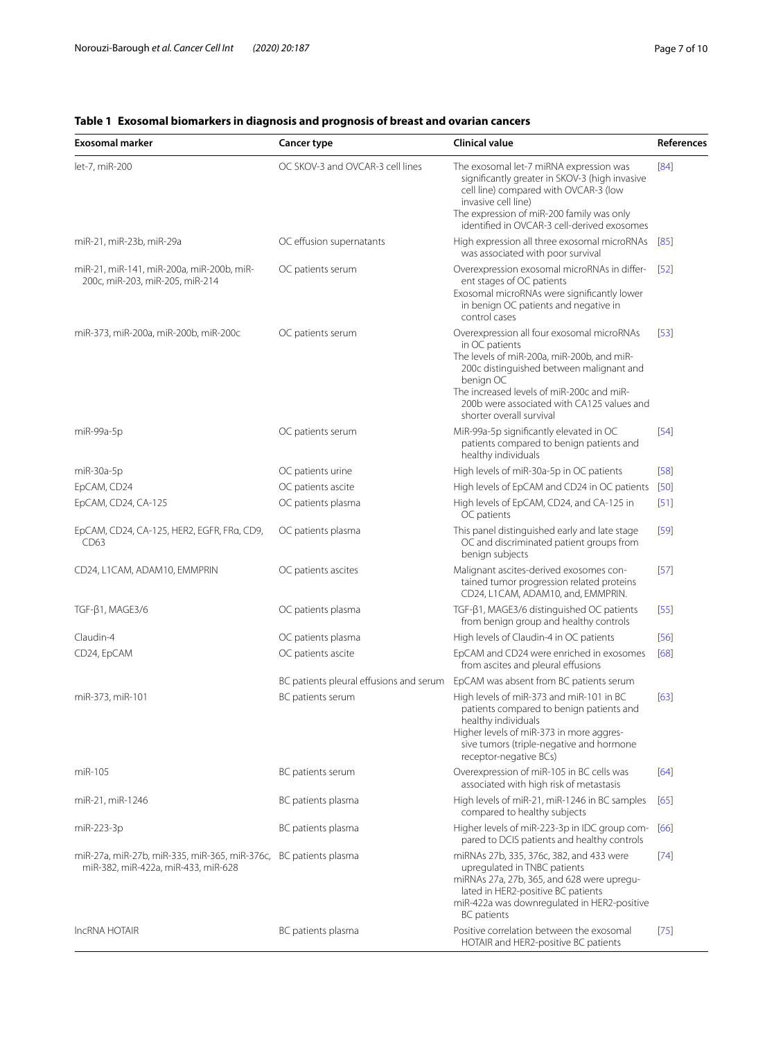| <b>Exosomal marker</b>                                                                                  | <b>Cancer type</b>                                           | Clinical value                                                                                                                                                                                                                                                                             | References |
|---------------------------------------------------------------------------------------------------------|--------------------------------------------------------------|--------------------------------------------------------------------------------------------------------------------------------------------------------------------------------------------------------------------------------------------------------------------------------------------|------------|
| let-7, miR-200                                                                                          | OC SKOV-3 and OVCAR-3 cell lines                             | The exosomal let-7 miRNA expression was<br>significantly greater in SKOV-3 (high invasive<br>cell line) compared with OVCAR-3 (low<br>invasive cell line)<br>The expression of miR-200 family was only<br>identified in OVCAR-3 cell-derived exosomes                                      | [84]       |
| miR-21, miR-23b, miR-29a                                                                                | OC effusion supernatants                                     | High expression all three exosomal microRNAs<br>was associated with poor survival                                                                                                                                                                                                          | $[85]$     |
| miR-21, miR-141, miR-200a, miR-200b, miR-<br>200c, miR-203, miR-205, miR-214                            | OC patients serum                                            | Overexpression exosomal microRNAs in differ-<br>ent stages of OC patients<br>Exosomal microRNAs were significantly lower<br>in benign OC patients and negative in<br>control cases                                                                                                         | [52]       |
| miR-373, miR-200a, miR-200b, miR-200c                                                                   | OC patients serum                                            | Overexpression all four exosomal microRNAs<br>in OC patients<br>The levels of miR-200a, miR-200b, and miR-<br>200c distinguished between malignant and<br>benign OC<br>The increased levels of miR-200c and miR-<br>200b were associated with CA125 values and<br>shorter overall survival | [53]       |
| miR-99a-5p                                                                                              | OC patients serum                                            | MiR-99a-5p significantly elevated in OC<br>patients compared to benign patients and<br>healthy individuals                                                                                                                                                                                 | [54]       |
| miR-30a-5p                                                                                              | OC patients urine                                            | High levels of miR-30a-5p in OC patients                                                                                                                                                                                                                                                   | $[58]$     |
| EpCAM, CD24                                                                                             | OC patients ascite                                           | High levels of EpCAM and CD24 in OC patients                                                                                                                                                                                                                                               | $[50]$     |
| EpCAM, CD24, CA-125                                                                                     | OC patients plasma                                           | High levels of EpCAM, CD24, and CA-125 in<br>OC patients                                                                                                                                                                                                                                   | $[51]$     |
| EpCAM, CD24, CA-125, HER2, EGFR, FRa, CD9,<br>CD63                                                      | OC patients plasma                                           | This panel distinguished early and late stage<br>OC and discriminated patient groups from<br>benign subjects                                                                                                                                                                               | $[59]$     |
| CD24, L1CAM, ADAM10, EMMPRIN                                                                            | OC patients ascites                                          | Malignant ascites-derived exosomes con-<br>tained tumor progression related proteins<br>CD24, L1CAM, ADAM10, and, EMMPRIN.                                                                                                                                                                 | $[57]$     |
| TGF-ß1, MAGE3/6                                                                                         | OC patients plasma                                           | $TGF-\beta1$ , MAGE3/6 distinguished OC patients<br>from benign group and healthy controls                                                                                                                                                                                                 | $[55]$     |
| Claudin-4                                                                                               | OC patients plasma                                           | High levels of Claudin-4 in OC patients                                                                                                                                                                                                                                                    | $[56]$     |
| CD24, EpCAM                                                                                             | OC patients ascite                                           | EpCAM and CD24 were enriched in exosomes<br>from ascites and pleural effusions                                                                                                                                                                                                             | [68]       |
| miR-373, miR-101                                                                                        | BC patients pleural effusions and serum<br>BC patients serum | EpCAM was absent from BC patients serum<br>High levels of miR-373 and miR-101 in BC<br>patients compared to benign patients and<br>healthy individuals                                                                                                                                     | [63]       |
|                                                                                                         |                                                              | Higher levels of miR-373 in more aggres-<br>sive tumors (triple-negative and hormone<br>receptor-negative BCs)                                                                                                                                                                             |            |
| miR-105                                                                                                 | BC patients serum                                            | Overexpression of miR-105 in BC cells was<br>associated with high risk of metastasis                                                                                                                                                                                                       | [64]       |
| miR-21, miR-1246                                                                                        | BC patients plasma                                           | High levels of miR-21, miR-1246 in BC samples<br>compared to healthy subjects                                                                                                                                                                                                              | [65]       |
| miR-223-3p                                                                                              | BC patients plasma                                           | Higher levels of miR-223-3p in IDC group com-<br>pared to DCIS patients and healthy controls                                                                                                                                                                                               | [66]       |
| miR-27a, miR-27b, miR-335, miR-365, miR-376c, BC patients plasma<br>miR-382, miR-422a, miR-433, miR-628 |                                                              | miRNAs 27b, 335, 376c, 382, and 433 were<br>upregulated in TNBC patients<br>miRNAs 27a, 27b, 365, and 628 were upregu-<br>lated in HER2-positive BC patients<br>miR-422a was downregulated in HER2-positive<br><b>BC</b> patients                                                          | $[74]$     |
| <b>IncRNA HOTAIR</b>                                                                                    | BC patients plasma                                           | Positive correlation between the exosomal<br>HOTAIR and HER2-positive BC patients                                                                                                                                                                                                          | $[75]$     |

### <span id="page-6-0"></span>**Table 1 Exosomal biomarkers in diagnosis and prognosis of breast and ovarian cancers**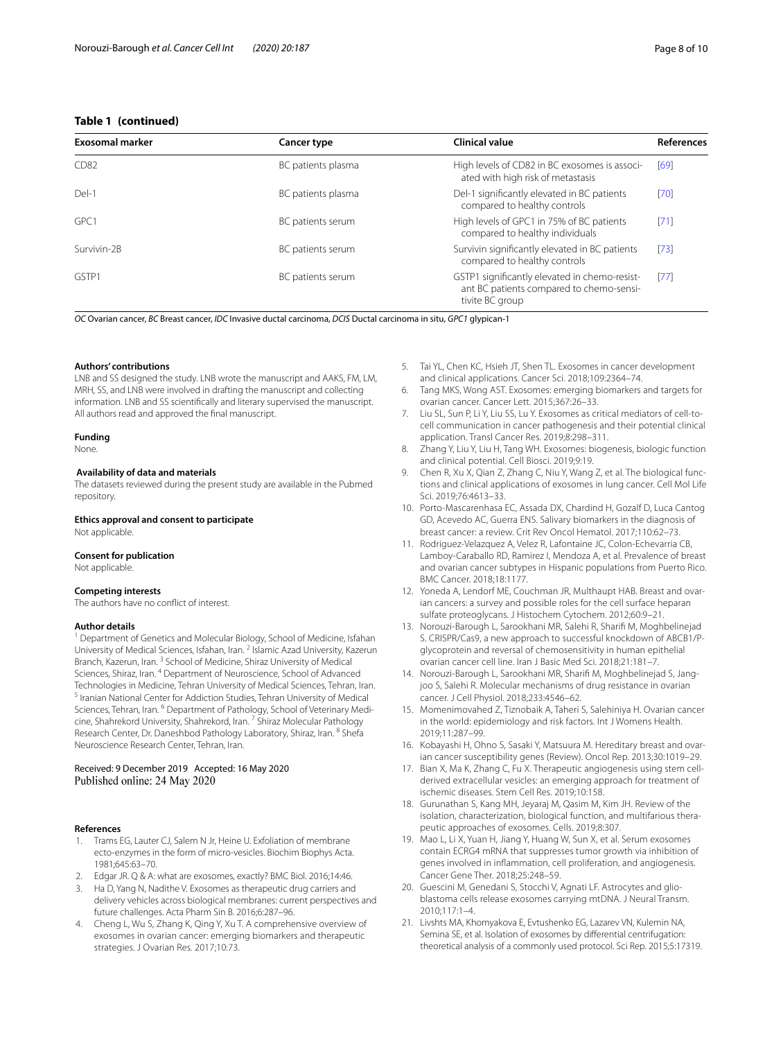### **Table 1 (continued)**

| <b>Exosomal marker</b> | Cancer type        | Clinical value                                                                                               | <b>References</b> |
|------------------------|--------------------|--------------------------------------------------------------------------------------------------------------|-------------------|
| CD <sub>82</sub>       | BC patients plasma | High levels of CD82 in BC exosomes is associ-<br>ated with high risk of metastasis                           | [69]              |
| Del-1                  | BC patients plasma | Del-1 significantly elevated in BC patients<br>compared to healthy controls                                  | [70]              |
| GPC1                   | BC patients serum  | High levels of GPC1 in 75% of BC patients<br>compared to healthy individuals                                 | [71]              |
| Survivin-2B            | BC patients serum  | Survivin significantly elevated in BC patients<br>compared to healthy controls                               | [73]              |
| GSTP1                  | BC patients serum  | GSTP1 significantly elevated in chemo-resist-<br>ant BC patients compared to chemo-sensi-<br>tivite BC group | [77]              |

*OC* Ovarian cancer, *BC* Breast cancer, *IDC* Invasive ductal carcinoma, *DCIS* Ductal carcinoma in situ, *GPC1* glypican-1

#### **Authors' contributions**

LNB and SS designed the study. LNB wrote the manuscript and AAKS, FM, LM, MRH, SS, and LNB were involved in drafting the manuscript and collecting information. LNB and SS scientifcally and literary supervised the manuscript. All authors read and approved the fnal manuscript.

### **Funding**

### None.

### **Availability of data and materials**

The datasets reviewed during the present study are available in the Pubmed repository.

### **Ethics approval and consent to participate**

Not applicable.

### **Consent for publication**

Not applicable.

### **Competing interests**

The authors have no confict of interest.

### **Author details**

<sup>1</sup> Department of Genetics and Molecular Biology, School of Medicine, Isfahan University of Medical Sciences, Isfahan, Iran. <sup>2</sup> Islamic Azad University, Kazerun Branch, Kazerun, Iran. 3 School of Medicine, Shiraz University of Medical Sciences, Shiraz, Iran. 4 Department of Neuroscience, School of Advanced Technologies in Medicine, Tehran University of Medical Sciences, Tehran, Iran.<br><sup>5</sup> Iranian National Center for Addiction Studies, Tehran University of Medical Sciences, Tehran, Iran. <sup>6</sup> Department of Pathology, School of Veterinary Medicine, Shahrekord University, Shahrekord, Iran.<sup>7</sup> Shiraz Molecular Pathology Research Center, Dr. Daneshbod Pathology Laboratory, Shiraz, Iran. <sup>8</sup> Shefa Neuroscience Research Center, Tehran, Iran.

## Received: 9 December 2019 Accepted: 16 May 2020

#### **References**

- <span id="page-7-0"></span>1. Trams EG, Lauter CJ, Salem N Jr, Heine U. Exfoliation of membrane ecto-enzymes in the form of micro-vesicles. Biochim Biophys Acta. 1981;645:63–70.
- <span id="page-7-1"></span>2. Edgar JR. Q & A: what are exosomes, exactly? BMC Biol. 2016;14:46.
- <span id="page-7-2"></span>3. Ha D, Yang N, Nadithe V. Exosomes as therapeutic drug carriers and delivery vehicles across biological membranes: current perspectives and future challenges. Acta Pharm Sin B. 2016;6:287–96.
- <span id="page-7-3"></span>4. Cheng L, Wu S, Zhang K, Qing Y, Xu T. A comprehensive overview of exosomes in ovarian cancer: emerging biomarkers and therapeutic strategies. J Ovarian Res. 2017;10:73.
- <span id="page-7-4"></span>5. Tai YL, Chen KC, Hsieh JT, Shen TL. Exosomes in cancer development and clinical applications. Cancer Sci. 2018;109:2364–74.
- <span id="page-7-5"></span>6. Tang MKS, Wong AST. Exosomes: emerging biomarkers and targets for ovarian cancer. Cancer Lett. 2015;367:26–33.
- <span id="page-7-6"></span>7. Liu SL, Sun P, Li Y, Liu SS, Lu Y. Exosomes as critical mediators of cell-tocell communication in cancer pathogenesis and their potential clinical application. Transl Cancer Res. 2019;8:298–311.
- <span id="page-7-7"></span>8. Zhang Y, Liu Y, Liu H, Tang WH. Exosomes: biogenesis, biologic function and clinical potential. Cell Biosci. 2019;9:19.
- <span id="page-7-8"></span>9. Chen R, Xu X, Qian Z, Zhang C, Niu Y, Wang Z, et al. The biological functions and clinical applications of exosomes in lung cancer. Cell Mol Life Sci. 2019;76:4613–33.
- <span id="page-7-9"></span>10. Porto-Mascarenhasa EC, Assada DX, Chardind H, Gozalf D, Luca Cantog GD, Acevedo AC, Guerra ENS. Salivary biomarkers in the diagnosis of breast cancer: a review. Crit Rev Oncol Hematol. 2017;110:62–73.
- 11. Rodriguez-Velazquez A, Velez R, Lafontaine JC, Colon-Echevarria CB, Lamboy-Caraballo RD, Ramirez I, Mendoza A, et al. Prevalence of breast and ovarian cancer subtypes in Hispanic populations from Puerto Rico. BMC Cancer. 2018;18:1177.
- <span id="page-7-10"></span>12. Yoneda A, Lendorf ME, Couchman JR, Multhaupt HAB. Breast and ovarian cancers: a survey and possible roles for the cell surface heparan sulfate proteoglycans. J Histochem Cytochem. 2012;60:9–21.
- <span id="page-7-11"></span>13. Norouzi-Barough L, Sarookhani MR, Salehi R, Sharif M, Moghbelinejad S. CRISPR/Cas9, a new approach to successful knockdown of ABCB1/Pglycoprotein and reversal of chemosensitivity in human epithelial ovarian cancer cell line. Iran J Basic Med Sci. 2018;21:181–7.
- <span id="page-7-12"></span>14. Norouzi-Barough L, Sarookhani MR, Sharifi M, Moghbelinejad S, Jangjoo S, Salehi R. Molecular mechanisms of drug resistance in ovarian cancer. J Cell Physiol. 2018;233:4546–62.
- <span id="page-7-13"></span>15. Momenimovahed Z, Tiznobaik A, Taheri S, Salehiniya H. Ovarian cancer in the world: epidemiology and risk factors. Int J Womens Health. 2019;11:287–99.
- <span id="page-7-14"></span>16. Kobayashi H, Ohno S, Sasaki Y, Matsuura M. Hereditary breast and ovarian cancer susceptibility genes (Review). Oncol Rep. 2013;30:1019–29.
- <span id="page-7-15"></span>17. Bian X, Ma K, Zhang C, Fu X. Therapeutic angiogenesis using stem cellderived extracellular vesicles: an emerging approach for treatment of ischemic diseases. Stem Cell Res. 2019;10:158.
- 18. Gurunathan S, Kang MH, Jeyaraj M, Qasim M, Kim JH. Review of the isolation, characterization, biological function, and multifarious therapeutic approaches of exosomes. Cells. 2019;8:307.
- 19. Mao L, Li X, Yuan H, Jiang Y, Huang W, Sun X, et al. Serum exosomes contain ECRG4 mRNA that suppresses tumor growth via inhibition of genes involved in infammation, cell proliferation, and angiogenesis. Cancer Gene Ther. 2018;25:248–59.
- <span id="page-7-16"></span>20. Guescini M, Genedani S, Stocchi V, Agnati LF. Astrocytes and glioblastoma cells release exosomes carrying mtDNA. J Neural Transm. 2010;117:1–4.
- <span id="page-7-17"></span>21. Livshts MA, Khomyakova E, Evtushenko EG, Lazarev VN, Kulemin NA, Semina SE, et al. Isolation of exosomes by diferential centrifugation: theoretical analysis of a commonly used protocol. Sci Rep. 2015;5:17319.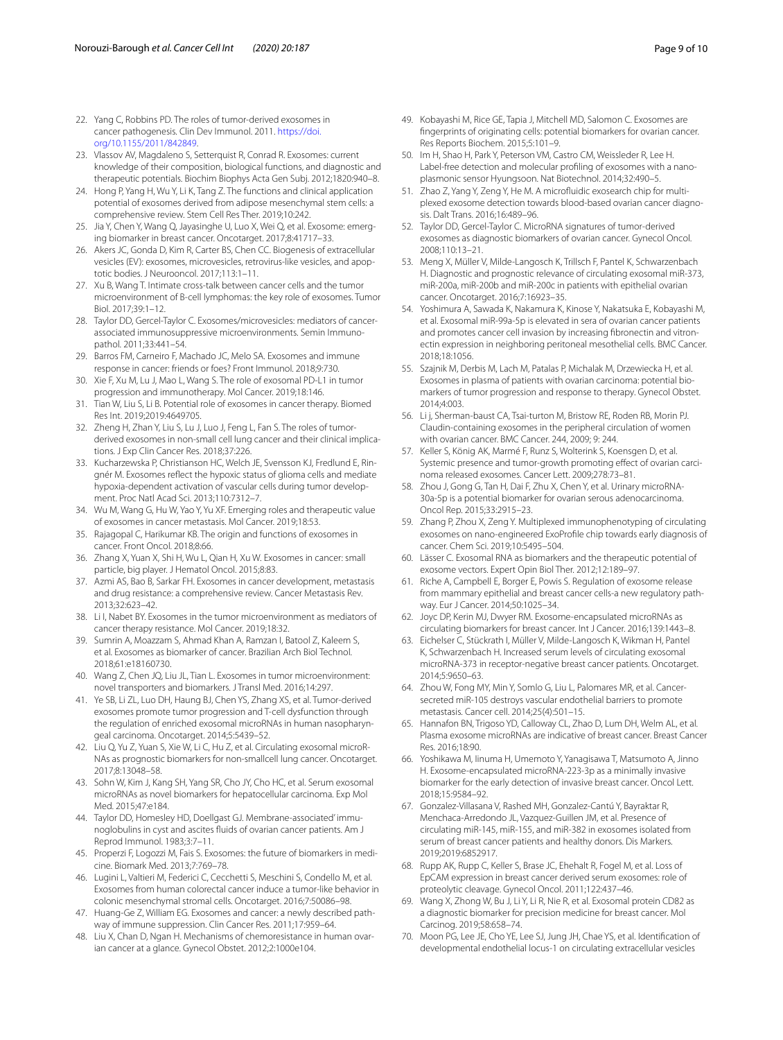- <span id="page-8-0"></span>22. Yang C, Robbins PD. The roles of tumor-derived exosomes in cancer pathogenesis. Clin Dev Immunol. 2011. [https://doi.](https://doi.org/10.1155/2011/842849) [org/10.1155/2011/842849.](https://doi.org/10.1155/2011/842849)
- <span id="page-8-1"></span>23. Vlassov AV, Magdaleno S, Setterquist R, Conrad R. Exosomes: current knowledge of their composition, biological functions, and diagnostic and therapeutic potentials. Biochim Biophys Acta Gen Subj. 2012;1820:940–8.
- <span id="page-8-2"></span>24. Hong P, Yang H, Wu Y, Li K, Tang Z. The functions and clinical application potential of exosomes derived from adipose mesenchymal stem cells: a comprehensive review. Stem Cell Res Ther. 2019;10:242.
- <span id="page-8-3"></span>25. Jia Y, Chen Y, Wang Q, Jayasinghe U, Luo X, Wei Q, et al. Exosome: emerging biomarker in breast cancer. Oncotarget. 2017;8:41717–33.
- <span id="page-8-4"></span>26. Akers JC, Gonda D, Kim R, Carter BS, Chen CC. Biogenesis of extracellular vesicles (EV): exosomes, microvesicles, retrovirus-like vesicles, and apoptotic bodies. J Neurooncol. 2017;113:1–11.
- <span id="page-8-5"></span>27. Xu B, Wang T. Intimate cross-talk between cancer cells and the tumor microenvironment of B-cell lymphomas: the key role of exosomes. Tumor Biol. 2017;39:1–12.
- <span id="page-8-6"></span>28. Taylor DD, Gercel-Taylor C. Exosomes/microvesicles: mediators of cancerassociated immunosuppressive microenvironments. Semin Immunopathol. 2011;33:441–54.
- <span id="page-8-7"></span>29. Barros FM, Carneiro F, Machado JC, Melo SA. Exosomes and immune response in cancer: friends or foes? Front Immunol. 2018;9:730.
- <span id="page-8-8"></span>30. Xie F, Xu M, Lu J, Mao L, Wang S. The role of exosomal PD-L1 in tumor progression and immunotherapy. Mol Cancer. 2019;18:146.
- <span id="page-8-9"></span>31. Tian W, Liu S, Li B. Potential role of exosomes in cancer therapy. Biomed Res Int. 2019;2019:4649705.
- <span id="page-8-10"></span>32. Zheng H, Zhan Y, Liu S, Lu J, Luo J, Feng L, Fan S. The roles of tumorderived exosomes in non-small cell lung cancer and their clinical implications. J Exp Clin Cancer Res. 2018;37:226.
- <span id="page-8-11"></span>33. Kucharzewska P, Christianson HC, Welch JE, Svensson KJ, Fredlund E, Ringnér M. Exosomes refect the hypoxic status of glioma cells and mediate hypoxia-dependent activation of vascular cells during tumor development. Proc Natl Acad Sci. 2013;110:7312–7.
- <span id="page-8-12"></span>34. Wu M, Wang G, Hu W, Yao Y, Yu XF. Emerging roles and therapeutic value of exosomes in cancer metastasis. Mol Cancer. 2019;18:53.
- <span id="page-8-13"></span>35. Rajagopal C, Harikumar KB. The origin and functions of exosomes in cancer. Front Oncol. 2018;8:66.
- <span id="page-8-14"></span>36. Zhang X, Yuan X, Shi H, Wu L, Qian H, Xu W. Exosomes in cancer: small particle, big player. J Hematol Oncol. 2015;8:83.
- <span id="page-8-15"></span>37. Azmi AS, Bao B, Sarkar FH. Exosomes in cancer development, metastasis and drug resistance: a comprehensive review. Cancer Metastasis Rev. 2013;32:623–42.
- <span id="page-8-16"></span>38. Li I, Nabet BY. Exosomes in the tumor microenvironment as mediators of cancer therapy resistance. Mol Cancer. 2019:18:32.
- <span id="page-8-17"></span>39. Sumrin A, Moazzam S, Ahmad Khan A, Ramzan I, Batool Z, Kaleem S, et al. Exosomes as biomarker of cancer. Brazilian Arch Biol Technol. 2018;61:e18160730.
- <span id="page-8-18"></span>40. Wang Z, Chen JQ, Liu JL, Tian L. Exosomes in tumor microenvironment: novel transporters and biomarkers. J Transl Med. 2016;14:297.
- <span id="page-8-19"></span>41. Ye SB, Li ZL, Luo DH, Haung BJ, Chen YS, Zhang XS, et al. Tumor-derived exosomes promote tumor progression and T-cell dysfunction through the regulation of enriched exosomal microRNAs in human nasopharyngeal carcinoma. Oncotarget. 2014;5:5439–52.
- <span id="page-8-20"></span>42. Liu Q, Yu Z, Yuan S, Xie W, Li C, Hu Z, et al. Circulating exosomal microR-NAs as prognostic biomarkers for non-smallcell lung cancer. Oncotarget. 2017;8:13048–58.
- <span id="page-8-21"></span>43. Sohn W, Kim J, Kang SH, Yang SR, Cho JY, Cho HC, et al. Serum exosomal microRNAs as novel biomarkers for hepatocellular carcinoma. Exp Mol Med. 2015;47:e184.
- <span id="page-8-22"></span>44. Taylor DD, Homesley HD, Doellgast GJ. Membrane-associated'immunoglobulins in cyst and ascites fuids of ovarian cancer patients. Am J Reprod Immunol. 1983;3:7–11.
- <span id="page-8-23"></span>45. Properzi F, Logozzi M, Fais S. Exosomes: the future of biomarkers in medicine. Biomark Med. 2013;7:769–78.
- 46. Lugini L, Valtieri M, Federici C, Cecchetti S, Meschini S, Condello M, et al. Exosomes from human colorectal cancer induce a tumor-like behavior in colonic mesenchymal stromal cells. Oncotarget. 2016;7:50086–98.
- <span id="page-8-24"></span>47. Huang-Ge Z, William EG. Exosomes and cancer: a newly described path– way of immune suppression. Clin Cancer Res. 2011;17:959–64.
- <span id="page-8-25"></span>48. Liu X, Chan D, Ngan H. Mechanisms of chemoresistance in human ovarian cancer at a glance. Gynecol Obstet. 2012;2:1000e104.
- <span id="page-8-26"></span>49. Kobayashi M, Rice GE, Tapia J, Mitchell MD, Salomon C. Exosomes are fngerprints of originating cells: potential biomarkers for ovarian cancer. Res Reports Biochem. 2015;5:101–9.
- <span id="page-8-27"></span>50. Im H, Shao H, Park Y, Peterson VM, Castro CM, Weissleder R, Lee H. Label-free detection and molecular profling of exosomes with a nanoplasmonic sensor Hyungsoon. Nat Biotechnol. 2014;32:490–5.
- <span id="page-8-28"></span>51. Zhao Z, Yang Y, Zeng Y, He M. A microfluidic exosearch chip for multiplexed exosome detection towards blood-based ovarian cancer diagnosis. Dalt Trans. 2016;16:489–96.
- <span id="page-8-29"></span>52. Taylor DD, Gercel-Taylor C. MicroRNA signatures of tumor-derived exosomes as diagnostic biomarkers of ovarian cancer. Gynecol Oncol. 2008;110:13–21.
- <span id="page-8-30"></span>53. Meng X, Müller V, Milde-Langosch K, Trillsch F, Pantel K, Schwarzenbach H. Diagnostic and prognostic relevance of circulating exosomal miR-373, miR-200a, miR-200b and miR-200c in patients with epithelial ovarian cancer. Oncotarget. 2016;7:16923–35.
- <span id="page-8-31"></span>54. Yoshimura A, Sawada K, Nakamura K, Kinose Y, Nakatsuka E, Kobayashi M, et al. Exosomal miR-99a-5p is elevated in sera of ovarian cancer patients and promotes cancer cell invasion by increasing fibronectin and vitronectin expression in neighboring peritoneal mesothelial cells. BMC Cancer. 2018;18:1056.
- <span id="page-8-32"></span>55. Szajnik M, Derbis M, Lach M, Patalas P, Michalak M, Drzewiecka H, et al. Exosomes in plasma of patients with ovarian carcinoma: potential biomarkers of tumor progression and response to therapy. Gynecol Obstet. 2014;4:003.
- <span id="page-8-33"></span>56. Li j, Sherman-baust CA, Tsai-turton M, Bristow RE, Roden RB, Morin PJ. Claudin-containing exosomes in the peripheral circulation of women with ovarian cancer. BMC Cancer. 244, 2009; 9: 244.
- <span id="page-8-34"></span>57. Keller S, König AK, Marmé F, Runz S, Wolterink S, Koensgen D, et al. Systemic presence and tumor-growth promoting effect of ovarian carcinoma released exosomes. Cancer Lett. 2009;278:73–81.
- <span id="page-8-35"></span>58. Zhou J, Gong G, Tan H, Dai F, Zhu X, Chen Y, et al. Urinary microRNA-30a-5p is a potential biomarker for ovarian serous adenocarcinoma. Oncol Rep. 2015;33:2915–23.
- <span id="page-8-36"></span>59. Zhang P, Zhou X, Zeng Y. Multiplexed immunophenotyping of circulating exosomes on nano-engineered ExoProfle chip towards early diagnosis of cancer. Chem Sci. 2019;10:5495–504.
- <span id="page-8-37"></span>60. Lässer C. Exosomal RNA as biomarkers and the therapeutic potential of exosome vectors. Expert Opin Biol Ther. 2012;12:189–97.
- <span id="page-8-38"></span>61. Riche A, Campbell E, Borger E, Powis S. Regulation of exosome release from mammary epithelial and breast cancer cells-a new regulatory pathway. Eur J Cancer. 2014;50:1025–34.
- <span id="page-8-39"></span>62. Joyc DP, Kerin MJ, Dwyer RM. Exosome-encapsulated microRNAs as circulating biomarkers for breast cancer. Int J Cancer. 2016;139:1443–8.
- <span id="page-8-40"></span>63. Eichelser C, Stückrath I, Müller V, Milde-Langosch K, Wikman H, Pantel K, Schwarzenbach H. Increased serum levels of circulating exosomal microRNA-373 in receptor-negative breast cancer patients. Oncotarget. 2014;5:9650–63.
- <span id="page-8-41"></span>64. Zhou W, Fong MY, Min Y, Somlo G, Liu L, Palomares MR, et al. Cancersecreted miR-105 destroys vascular endothelial barriers to promote metastasis. Cancer cell. 2014;25(4):501–15.
- <span id="page-8-42"></span>65. Hannafon BN, Trigoso YD, Calloway CL, Zhao D, Lum DH, Welm AL, et al. Plasma exosome microRNAs are indicative of breast cancer. Breast Cancer Res. 2016;18:90.
- <span id="page-8-43"></span>Yoshikawa M, Iinuma H, Umemoto Y, Yanagisawa T, Matsumoto A, Jinno H. Exosome-encapsulated microRNA-223-3p as a minimally invasive biomarker for the early detection of invasive breast cancer. Oncol Lett. 2018;15:9584–92.
- <span id="page-8-44"></span>67. Gonzalez-Villasana V, Rashed MH, Gonzalez-Cantú Y, Bayraktar R, Menchaca-Arredondo JL, Vazquez-Guillen JM, et al. Presence of circulating miR-145, miR-155, and miR-382 in exosomes isolated from serum of breast cancer patients and healthy donors. Dis Markers. 2019;2019:6852917.
- <span id="page-8-45"></span>68. Rupp AK, Rupp C, Keller S, Brase JC, Ehehalt R, Fogel M, et al. Loss of EpCAM expression in breast cancer derived serum exosomes: role of proteolytic cleavage. Gynecol Oncol. 2011;122:437–46.
- <span id="page-8-46"></span>69. Wang X, Zhong W, Bu J, Li Y, Li R, Nie R, et al. Exosomal protein CD82 as a diagnostic biomarker for precision medicine for breast cancer. Mol Carcinog. 2019;58:658–74.
- <span id="page-8-47"></span>70. Moon PG, Lee JE, Cho YE, Lee SJ, Jung JH, Chae YS, et al. Identifcation of developmental endothelial locus-1 on circulating extracellular vesicles